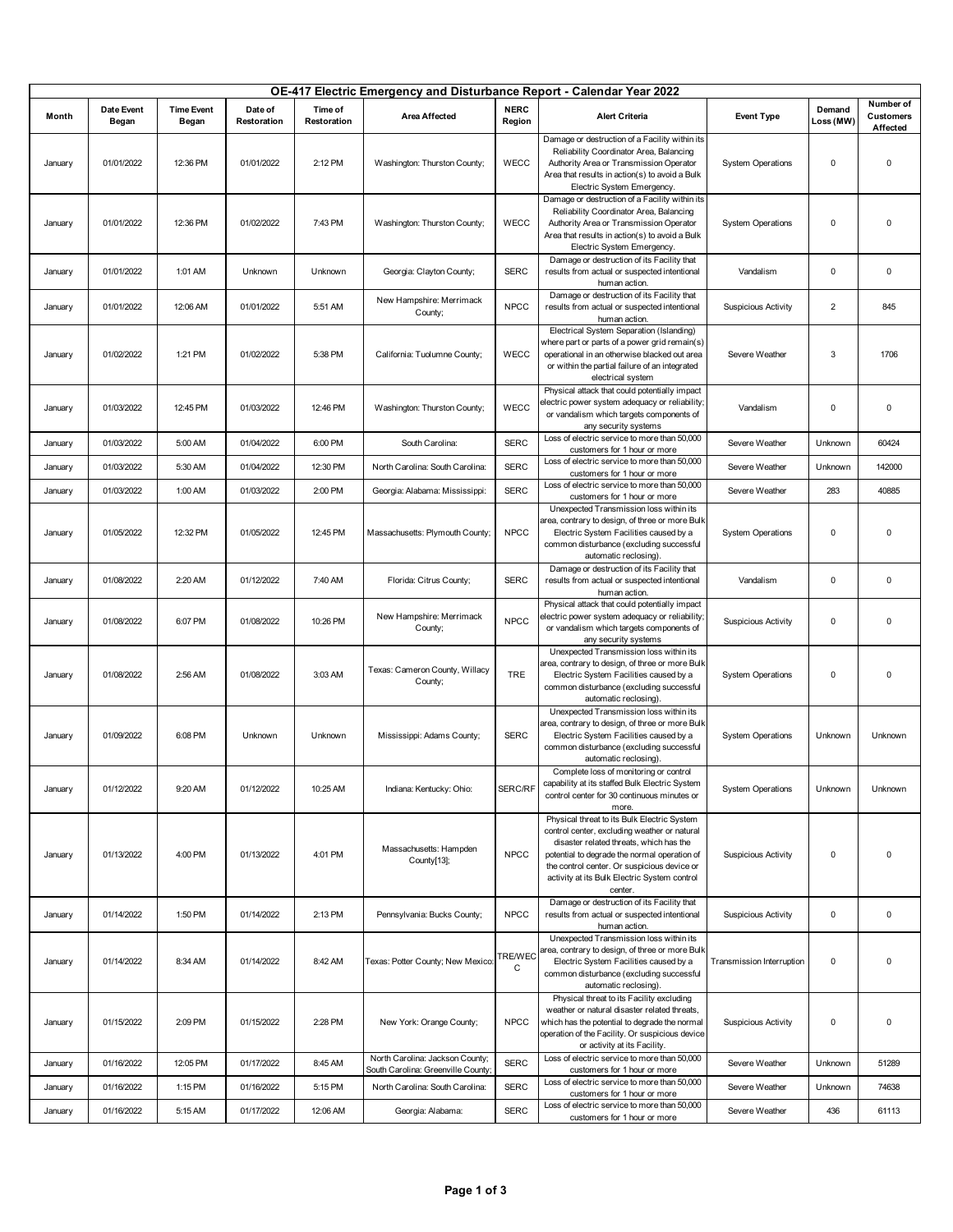| OE-417 Electric Emergency and Disturbance Report - Calendar Year 2022 |                     |                            |                        |                        |                                                                       |                       |                                                                                                                                                                                                                                                                                                  |                            |                         |                                           |
|-----------------------------------------------------------------------|---------------------|----------------------------|------------------------|------------------------|-----------------------------------------------------------------------|-----------------------|--------------------------------------------------------------------------------------------------------------------------------------------------------------------------------------------------------------------------------------------------------------------------------------------------|----------------------------|-------------------------|-------------------------------------------|
| Month                                                                 | Date Event<br>Began | <b>Time Event</b><br>Began | Date of<br>Restoration | Time of<br>Restoration | <b>Area Affected</b>                                                  | <b>NERC</b><br>Region | <b>Alert Criteria</b>                                                                                                                                                                                                                                                                            | <b>Event Type</b>          | Demand<br>Loss (MW)     | Number of<br><b>Customers</b><br>Affected |
| January                                                               | 01/01/2022          | 12:36 PM                   | 01/01/2022             | 2:12 PM                | Washington: Thurston County;                                          | WECC                  | Damage or destruction of a Facility within its<br>Reliability Coordinator Area, Balancing<br>Authority Area or Transmission Operator<br>Area that results in action(s) to avoid a Bulk<br>Electric System Emergency.                                                                             | <b>System Operations</b>   | 0                       | 0                                         |
| January                                                               | 01/01/2022          | 12:36 PM                   | 01/02/2022             | 7:43 PM                | Washington: Thurston County;                                          | WECC                  | Damage or destruction of a Facility within its<br>Reliability Coordinator Area, Balancing<br>Authority Area or Transmission Operator<br>Area that results in action(s) to avoid a Bulk<br>Electric System Emergency.                                                                             | <b>System Operations</b>   | 0                       | 0                                         |
| January                                                               | 01/01/2022          | 1:01 AM                    | Unknown                | Unknown                | Georgia: Clayton County;                                              | <b>SERC</b>           | Damage or destruction of its Facility that<br>results from actual or suspected intentional<br>human action.                                                                                                                                                                                      | Vandalism                  | 0                       | 0                                         |
| January                                                               | 01/01/2022          | 12:06 AM                   | 01/01/2022             | 5:51 AM                | New Hampshire: Merrimack<br>County;                                   | <b>NPCC</b>           | Damage or destruction of its Facility that<br>results from actual or suspected intentional<br>human action.                                                                                                                                                                                      | <b>Suspicious Activity</b> | $\overline{\mathbf{c}}$ | 845                                       |
| January                                                               | 01/02/2022          | 1:21 PM                    | 01/02/2022             | 5:38 PM                | California: Tuolumne County;                                          | WECC                  | Electrical System Separation (Islanding)<br>where part or parts of a power grid remain(s)<br>operational in an otherwise blacked out area<br>or within the partial failure of an integrated<br>electrical system                                                                                 | Severe Weather             | 3                       | 1706                                      |
| January                                                               | 01/03/2022          | 12:45 PM                   | 01/03/2022             | 12:46 PM               | Washington: Thurston County;                                          | WECC                  | Physical attack that could potentially impact<br>electric power system adequacy or reliability<br>or vandalism which targets components of<br>any security systems                                                                                                                               | Vandalism                  | 0                       | 0                                         |
| January                                                               | 01/03/2022          | 5:00 AM                    | 01/04/2022             | 6:00 PM                | South Carolina:                                                       | <b>SERC</b>           | Loss of electric service to more than 50,000<br>customers for 1 hour or more                                                                                                                                                                                                                     | Severe Weather             | Unknown                 | 60424                                     |
| January                                                               | 01/03/2022          | 5:30 AM                    | 01/04/2022             | 12:30 PM               | North Carolina: South Carolina:                                       | <b>SERC</b>           | Loss of electric service to more than 50,000<br>customers for 1 hour or more                                                                                                                                                                                                                     | Severe Weather             | Unknown                 | 142000                                    |
| January                                                               | 01/03/2022          | 1:00 AM                    | 01/03/2022             | 2:00 PM                | Georgia: Alabama: Mississippi:                                        | <b>SERC</b>           | Loss of electric service to more than 50,000<br>customers for 1 hour or more                                                                                                                                                                                                                     | Severe Weather             | 283                     | 40885                                     |
| January                                                               | 01/05/2022          | 12:32 PM                   | 01/05/2022             | 12:45 PM               | Massachusetts: Plymouth County;                                       | <b>NPCC</b>           | Unexpected Transmission loss within its<br>area, contrary to design, of three or more Bulk<br>Electric System Facilities caused by a<br>common disturbance (excluding successful<br>automatic reclosing).                                                                                        | <b>System Operations</b>   | $\pmb{0}$               | 0                                         |
| January                                                               | 01/08/2022          | 2:20 AM                    | 01/12/2022             | 7:40 AM                | Florida: Citrus County;                                               | <b>SERC</b>           | Damage or destruction of its Facility that<br>results from actual or suspected intentional<br>human action.                                                                                                                                                                                      | Vandalism                  | $\pmb{0}$               | 0                                         |
| January                                                               | 01/08/2022          | 6:07 PM                    | 01/08/2022             | 10:26 PM               | New Hampshire: Merrimack<br>County;                                   | <b>NPCC</b>           | Physical attack that could potentially impact<br>electric power system adequacy or reliability<br>or vandalism which targets components of<br>any security systems                                                                                                                               | <b>Suspicious Activity</b> | $\pmb{0}$               | 0                                         |
| January                                                               | 01/08/2022          | 2:56 AM                    | 01/08/2022             | 3:03 AM                | Texas: Cameron County, Willacy<br>County;                             | <b>TRE</b>            | Unexpected Transmission loss within its<br>area, contrary to design, of three or more Bulk<br>Electric System Facilities caused by a<br>common disturbance (excluding successful<br>automatic reclosing).                                                                                        | <b>System Operations</b>   | $\pmb{0}$               | 0                                         |
| January                                                               | 01/09/2022          | 6:08 PM                    | Unknown                | Unknown                | Mississippi: Adams County;                                            | <b>SERC</b>           | Unexpected Transmission loss within its<br>area, contrary to design, of three or more Bulk<br>Electric System Facilities caused by a<br>common disturbance (excluding successful<br>automatic reclosing).                                                                                        | <b>System Operations</b>   | Unknown                 | Unknown                                   |
| January                                                               | 01/12/2022          | 9:20 AM                    | 01/12/2022             | 10:25 AM               | Indiana: Kentucky: Ohio:                                              | SERC/RF               | Complete loss of monitoring or control<br>capability at its staffed Bulk Electric System<br>control center for 30 continuous minutes or<br>more.                                                                                                                                                 | <b>System Operations</b>   | Unknown                 | Unknown                                   |
| January                                                               | 01/13/2022          | 4:00 PM                    | 01/13/2022             | 4:01 PM                | Massachusetts: Hampden<br>County[13];                                 | <b>NPCC</b>           | Physical threat to its Bulk Electric System<br>control center, excluding weather or natural<br>disaster related threats, which has the<br>potential to degrade the normal operation of<br>the control center. Or suspicious device or<br>activity at its Bulk Electric System control<br>center. | <b>Suspicious Activity</b> | $\pmb{0}$               | 0                                         |
| January                                                               | 01/14/2022          | 1:50 PM                    | 01/14/2022             | 2:13 PM                | Pennsylvania: Bucks County;                                           | <b>NPCC</b>           | Damage or destruction of its Facility that<br>results from actual or suspected intentional<br>human action.                                                                                                                                                                                      | <b>Suspicious Activity</b> | 0                       | 0                                         |
| January                                                               | 01/14/2022          | 8:34 AM                    | 01/14/2022             | 8:42 AM                | Texas: Potter County; New Mexico:                                     | TRE/WEC<br>С          | Unexpected Transmission loss within its<br>area, contrary to design, of three or more Bulk<br>Electric System Facilities caused by a<br>common disturbance (excluding successful<br>automatic reclosing).                                                                                        | Transmission Interruption  | $\pmb{0}$               | 0                                         |
| January                                                               | 01/15/2022          | 2:09 PM                    | 01/15/2022             | 2:28 PM                | New York: Orange County;                                              | <b>NPCC</b>           | Physical threat to its Facility excluding<br>weather or natural disaster related threats,<br>which has the potential to degrade the normal<br>operation of the Facility. Or suspicious device<br>or activity at its Facility.                                                                    | <b>Suspicious Activity</b> | 0                       | 0                                         |
| January                                                               | 01/16/2022          | 12:05 PM                   | 01/17/2022             | 8:45 AM                | North Carolina: Jackson County;<br>South Carolina: Greenville County; | <b>SERC</b>           | Loss of electric service to more than 50,000<br>customers for 1 hour or more                                                                                                                                                                                                                     | Severe Weather             | Unknown                 | 51289                                     |
| January                                                               | 01/16/2022          | 1:15 PM                    | 01/16/2022             | 5:15 PM                | North Carolina: South Carolina:                                       | <b>SERC</b>           | Loss of electric service to more than 50,000<br>customers for 1 hour or more                                                                                                                                                                                                                     | Severe Weather             | Unknown                 | 74638                                     |
| January                                                               | 01/16/2022          | 5:15 AM                    | 01/17/2022             | 12:06 AM               | Georgia: Alabama:                                                     | <b>SERC</b>           | Loss of electric service to more than 50,000<br>customers for 1 hour or more                                                                                                                                                                                                                     | Severe Weather             | 436                     | 61113                                     |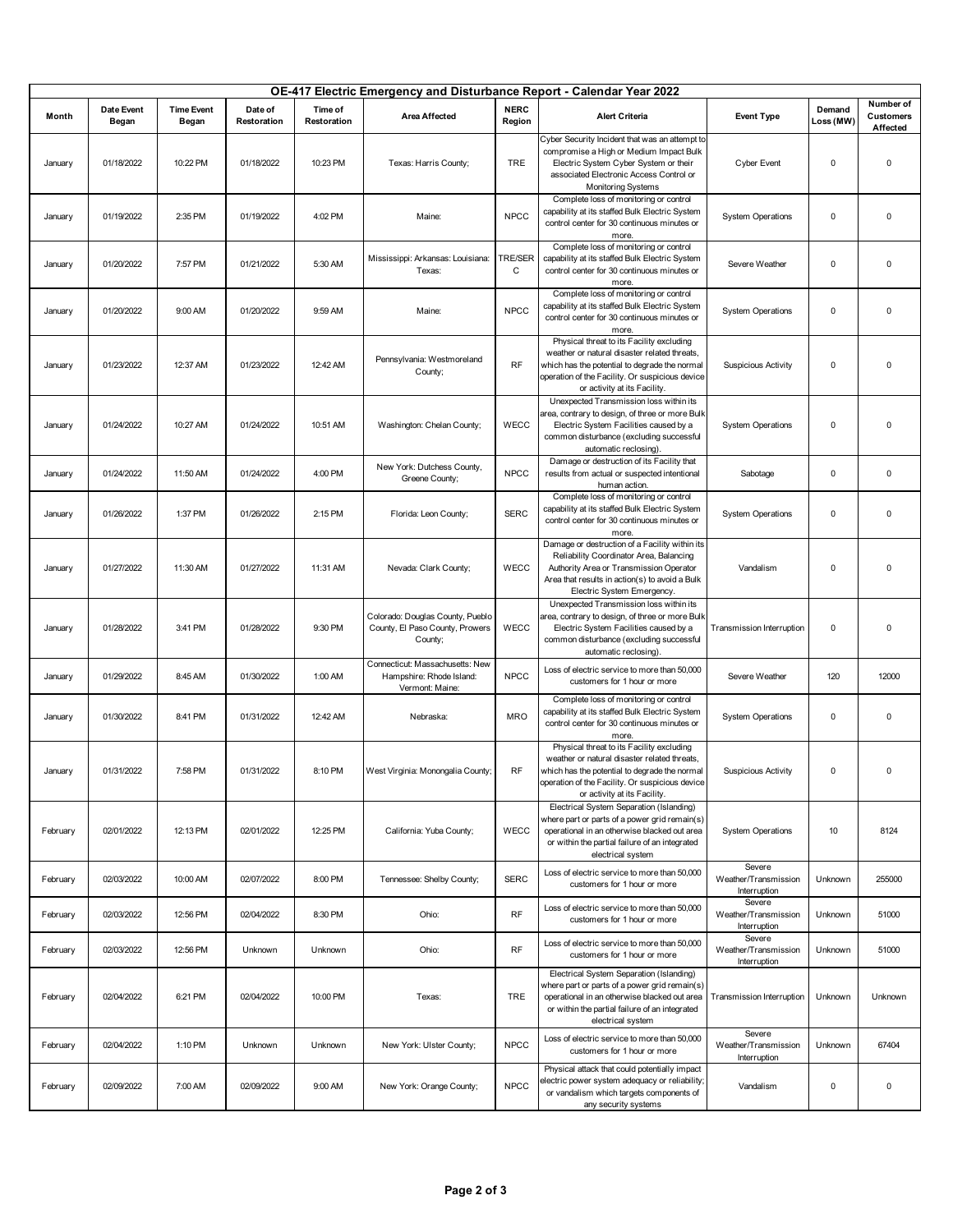| OE-417 Electric Emergency and Disturbance Report - Calendar Year 2022 |                            |                            |                        |                        |                                                                                |                       |                                                                                                                                                                                                                               |                                                |                     |                                           |
|-----------------------------------------------------------------------|----------------------------|----------------------------|------------------------|------------------------|--------------------------------------------------------------------------------|-----------------------|-------------------------------------------------------------------------------------------------------------------------------------------------------------------------------------------------------------------------------|------------------------------------------------|---------------------|-------------------------------------------|
| Month                                                                 | <b>Date Event</b><br>Began | <b>Time Event</b><br>Began | Date of<br>Restoration | Time of<br>Restoration | <b>Area Affected</b>                                                           | <b>NERC</b><br>Region | <b>Alert Criteria</b>                                                                                                                                                                                                         | <b>Event Type</b>                              | Demand<br>Loss (MW) | Number of<br><b>Customers</b><br>Affected |
| January                                                               | 01/18/2022                 | 10:22 PM                   | 01/18/2022             | 10:23 PM               | Texas: Harris County;                                                          | <b>TRE</b>            | Cyber Security Incident that was an attempt to<br>compromise a High or Medium Impact Bulk<br>Electric System Cyber System or their<br>associated Electronic Access Control or<br><b>Monitoring Systems</b>                    | <b>Cyber Event</b>                             | $\mathbf 0$         | $\mathsf 0$                               |
| January                                                               | 01/19/2022                 | 2:35 PM                    | 01/19/2022             | 4:02 PM                | Maine:                                                                         | <b>NPCC</b>           | Complete loss of monitoring or control<br>capability at its staffed Bulk Electric System<br>control center for 30 continuous minutes or<br>more.                                                                              | <b>System Operations</b>                       | $\pmb{0}$           | 0                                         |
| January                                                               | 01/20/2022                 | 7:57 PM                    | 01/21/2022             | 5:30 AM                | Mississippi: Arkansas: Louisiana:<br>Texas:                                    | <b>TRE/SER</b><br>C   | Complete loss of monitoring or control<br>capability at its staffed Bulk Electric System<br>control center for 30 continuous minutes or<br>more.                                                                              | Severe Weather                                 | $\pmb{0}$           | 0                                         |
| January                                                               | 01/20/2022                 | 9:00 AM                    | 01/20/2022             | 9:59 AM                | Maine:                                                                         | <b>NPCC</b>           | Complete loss of monitoring or control<br>capability at its staffed Bulk Electric System<br>control center for 30 continuous minutes or<br>more.                                                                              | <b>System Operations</b>                       | $\pmb{0}$           | 0                                         |
| January                                                               | 01/23/2022                 | 12:37 AM                   | 01/23/2022             | 12:42 AM               | Pennsylvania: Westmoreland<br>County;                                          | <b>RF</b>             | Physical threat to its Facility excluding<br>weather or natural disaster related threats,<br>which has the potential to degrade the normal<br>operation of the Facility. Or suspicious device<br>or activity at its Facility. | <b>Suspicious Activity</b>                     | $\mathbf 0$         | 0                                         |
| January                                                               | 01/24/2022                 | 10:27 AM                   | 01/24/2022             | 10:51 AM               | Washington: Chelan County;                                                     | WECC                  | Unexpected Transmission loss within its<br>area, contrary to design, of three or more Bulk<br>Electric System Facilities caused by a<br>common disturbance (excluding successful<br>automatic reclosing).                     | <b>System Operations</b>                       | $\mathbf 0$         | 0                                         |
| January                                                               | 01/24/2022                 | 11:50 AM                   | 01/24/2022             | 4:00 PM                | New York: Dutchess County,<br>Greene County;                                   | <b>NPCC</b>           | Damage or destruction of its Facility that<br>results from actual or suspected intentional<br>human action.                                                                                                                   | Sabotage                                       | $\pmb{0}$           | 0                                         |
| January                                                               | 01/26/2022                 | 1:37 PM                    | 01/26/2022             | 2:15 PM                | Florida: Leon County;                                                          | <b>SERC</b>           | Complete loss of monitoring or control<br>capability at its staffed Bulk Electric System<br>control center for 30 continuous minutes or<br>more.                                                                              | <b>System Operations</b>                       | $\mathbf 0$         | 0                                         |
| January                                                               | 01/27/2022                 | 11:30 AM                   | 01/27/2022             | 11:31 AM               | Nevada: Clark County;                                                          | WECC                  | Damage or destruction of a Facility within its<br>Reliability Coordinator Area, Balancing<br>Authority Area or Transmission Operator<br>Area that results in action(s) to avoid a Bulk<br>Electric System Emergency.          | Vandalism                                      | $\mathbf 0$         | 0                                         |
| January                                                               | 01/28/2022                 | 3:41 PM                    | 01/28/2022             | 9:30 PM                | Colorado: Douglas County, Pueblo<br>County, El Paso County, Prowers<br>County; | WECC                  | Unexpected Transmission loss within its<br>area, contrary to design, of three or more Bulk<br>Electric System Facilities caused by a<br>common disturbance (excluding successful<br>automatic reclosing).                     | Transmission Interruption                      | $\mathbf 0$         | 0                                         |
| January                                                               | 01/29/2022                 | 8:45 AM                    | 01/30/2022             | 1:00 AM                | Connecticut: Massachusetts: New<br>Hampshire: Rhode Island:<br>Vermont: Maine: | <b>NPCC</b>           | Loss of electric service to more than 50,000<br>customers for 1 hour or more                                                                                                                                                  | Severe Weather                                 | 120                 | 12000                                     |
| January                                                               | 01/30/2022                 | 8:41 PM                    | 01/31/2022             | 12:42 AM               | Nebraska:                                                                      | <b>MRO</b>            | Complete loss of monitoring or control<br>capability at its staffed Bulk Electric System<br>control center for 30 continuous minutes or<br>more.                                                                              | <b>System Operations</b>                       | $\mathbf 0$         | 0                                         |
| January                                                               | 01/31/2022                 | 7:58 PM                    | 01/31/2022             | 8:10 PM                | West Virginia: Monongalia County;                                              | <b>RF</b>             | Physical threat to its Facility excluding<br>weather or natural disaster related threats.<br>which has the potential to degrade the normal<br>operation of the Facility. Or suspicious device<br>or activity at its Facility. | <b>Suspicious Activity</b>                     | $\mathbf 0$         | 0                                         |
| February                                                              | 02/01/2022                 | 12:13 PM                   | 02/01/2022             | 12:25 PM               | California: Yuba County;                                                       | WECC                  | Electrical System Separation (Islanding)<br>where part or parts of a power grid remain(s)<br>operational in an otherwise blacked out area<br>or within the partial failure of an integrated<br>electrical system              | <b>System Operations</b>                       | 10                  | 8124                                      |
| February                                                              | 02/03/2022                 | 10:00 AM                   | 02/07/2022             | 8:00 PM                | Tennessee: Shelby County;                                                      | <b>SERC</b>           | Loss of electric service to more than 50,000<br>customers for 1 hour or more                                                                                                                                                  | Severe<br>Weather/Transmission<br>Interruption | Unknown             | 255000                                    |
| February                                                              | 02/03/2022                 | 12:56 PM                   | 02/04/2022             | 8:30 PM                | Ohio:                                                                          | <b>RF</b>             | Loss of electric service to more than 50,000<br>customers for 1 hour or more                                                                                                                                                  | Severe<br>Weather/Transmission<br>Interruption | Unknown             | 51000                                     |
| February                                                              | 02/03/2022                 | 12:56 PM                   | Unknown                | Unknown                | Ohio:                                                                          | RF                    | Loss of electric service to more than 50,000<br>customers for 1 hour or more                                                                                                                                                  | Severe<br>Weather/Transmission<br>Interruption | Unknown             | 51000                                     |
| February                                                              | 02/04/2022                 | 6:21 PM                    | 02/04/2022             | 10:00 PM               | Texas:                                                                         | <b>TRE</b>            | Electrical System Separation (Islanding)<br>where part or parts of a power grid remain(s)<br>operational in an otherwise blacked out area<br>or within the partial failure of an integrated<br>electrical system              | Transmission Interruption                      | Unknown             | Unknown                                   |
| February                                                              | 02/04/2022                 | 1:10 PM                    | Unknown                | Unknown                | New York: Ulster County;                                                       | <b>NPCC</b>           | Loss of electric service to more than 50,000<br>customers for 1 hour or more                                                                                                                                                  | Severe<br>Weather/Transmission<br>Interruption | Unknown             | 67404                                     |
| February                                                              | 02/09/2022                 | 7:00 AM                    | 02/09/2022             | 9:00 AM                | New York: Orange County;                                                       | <b>NPCC</b>           | Physical attack that could potentially impact<br>electric power system adequacy or reliability;<br>or vandalism which targets components of<br>any security systems                                                           | Vandalism                                      | $\mathbf 0$         | 0                                         |